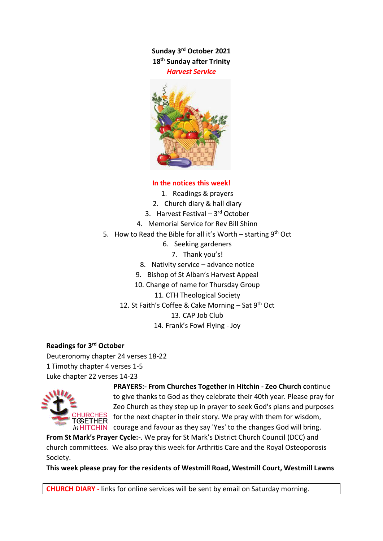**Sunday 3 rd October 2021 18 th Sunday after Trinity** *Harvest Service*



### **In the notices this week!**

- 1. Readings & prayers
- 2. Church diary & hall diary
- 3. Harvest Festival 3rd October
- 4. Memorial Service for Rev Bill Shinn
- 5. How to Read the Bible for all it's Worth starting 9<sup>th</sup> Oct
	- 6. Seeking gardeners
		- 7. Thank you's!
	- 8. Nativity service advance notice
	- 9. Bishop of St Alban's Harvest Appeal
	- 10. Change of name for Thursday Group
		- 11. CTH Theological Society
	- 12. St Faith's Coffee & Cake Morning Sat 9th Oct

13. CAP Job Club

14. Frank's Fowl Flying - Joy

#### **Readings for 3rd October**

Deuteronomy chapter 24 verses 18-22 1 Timothy chapter 4 verses 1-5 Luke chapter 22 verses 14-23



**PRAYERS:- From Churches Together in Hitchin - Zeo Church c**ontinue to give thanks to God as they celebrate their 40th year. Please pray for Zeo Church as they step up in prayer to seek God's plans and purposes for the next chapter in their story. We pray with them for wisdom,  $in$  HITCHIN courage and favour as they say 'Yes' to the changes God will bring.

**From St Mark's Prayer Cycle:-**. We pray for St Mark's District Church Council (DCC) and church committees. We also pray this week for Arthritis Care and the Royal Osteoporosis Society.

**This week please pray for the residents of Westmill Road, Westmill Court, Westmill Lawns**

**CHURCH DIARY -** links for online services will be sent by email on Saturday morning.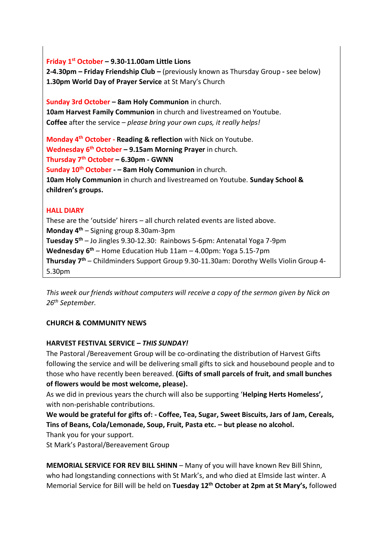**Friday 1st October – 9.30-11.00am Little Lions**

**2-4.30pm – Friday Friendship Club –** (previously known as Thursday Group **-** see below) **1.30pm World Day of Prayer Service** at St Mary's Church

**Sunday 3rd October – 8am Holy Communion** in church. **10am Harvest Family Communion** in church and livestreamed on Youtube. **Coffee** after the service – *please bring your own cups, it really helps!*

**Monday 4 th October - Reading & reflection** with Nick on Youtube. **Wednesday 6 th October – 9.15am Morning Prayer** in church. **Thursday 7th October – 6.30pm - GWNN Sunday 10th October - – 8am Holy Communion** in church. **10am Holy Communion** in church and livestreamed on Youtube. **Sunday School & children's groups.**

## **HALL DIARY**

These are the 'outside' hirers – all church related events are listed above. **Monday 4 th** – Signing group 8.30am-3pm **Tuesday 5 th** – Jo Jingles 9.30-12.30: Rainbows 5-6pm: Antenatal Yoga 7-9pm **Wednesday 6 th** – Home Education Hub 11am – 4.00pm: Yoga 5.15-7pm **Thursday 7 th** – Childminders Support Group 9.30-11.30am: Dorothy Wells Violin Group 4- 5.30pm

*This week our friends without computers will receive a copy of the sermon given by Nick on 26th September.*

## **CHURCH & COMMUNITY NEWS**

## **HARVEST FESTIVAL SERVICE –** *THIS SUNDAY!*

The Pastoral /Bereavement Group will be co-ordinating the distribution of Harvest Gifts following the service and will be delivering small gifts to sick and housebound people and to those who have recently been bereaved. **(Gifts of small parcels of fruit, and small bunches of flowers would be most welcome, please).**

As we did in previous years the church will also be supporting '**Helping Herts Homeless',** with non-perishable contributions.

**We would be grateful for gifts of: - Coffee, Tea, Sugar, Sweet Biscuits, Jars of Jam, Cereals, Tins of Beans, Cola/Lemonade, Soup, Fruit, Pasta etc. – but please no alcohol.**

Thank you for your support.

St Mark's Pastoral/Bereavement Group

**MEMORIAL SERVICE FOR REV BILL SHINN** – Many of you will have known Rev Bill Shinn, who had longstanding connections with St Mark's, and who died at Elmside last winter. A Memorial Service for Bill will be held on **Tuesday 12th October at 2pm at St Mary's,** followed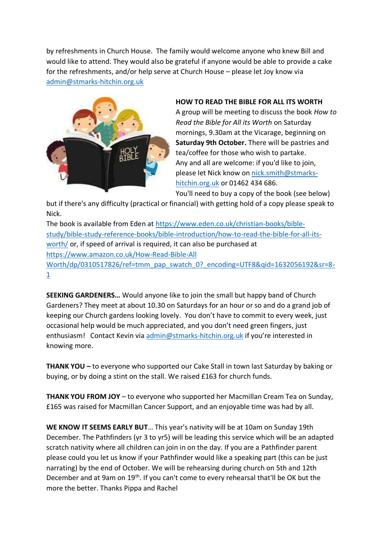by refreshments in Church House. The family would welcome anyone who knew Bill and would like to attend. They would also be grateful if anyone would be able to provide a cake for the refreshments, and/or help serve at Church House – please let Joy know via [admin@stmarks-hitchin.org.uk](mailto:admin@stmarks-hitchin.org.uk)



# **HOW TO READ THE BIBLE FOR ALL ITS WORTH** A group will be meeting to discuss the book *How to Read the Bible for All its Worth* on Saturday mornings, 9.30am at the Vicarage, beginning on **Saturday 9th October.** There will be pastries and tea/coffee for those who wish to partake. Any and all are welcome: if you'd like to join, please let Nick know on [nick.smith@stmarks](mailto:nick.smith@stmarks-hitchin.org.uk)[hitchin.org.uk](mailto:nick.smith@stmarks-hitchin.org.uk) or 01462 434 686.

You'll need to buy a copy of the book (see below)

but if there's any difficulty (practical or financial) with getting hold of a copy please speak to Nick.

The book is available from Eden at [https://www.eden.co.uk/christian-books/bible](https://www.eden.co.uk/christian-books/bible-study/bible-study-reference-books/bible-introduction/how-to-read-the-bible-for-all-its-worth/)[study/bible-study-reference-books/bible-introduction/how-to-read-the-bible-for-all-its](https://www.eden.co.uk/christian-books/bible-study/bible-study-reference-books/bible-introduction/how-to-read-the-bible-for-all-its-worth/)[worth/](https://www.eden.co.uk/christian-books/bible-study/bible-study-reference-books/bible-introduction/how-to-read-the-bible-for-all-its-worth/) or, if speed of arrival is required, it can also be purchased at [https://www.amazon.co.uk/How-Read-Bible-All](https://www.amazon.co.uk/How-Read-Bible-All%20Worth/dp/0310517826/ref=tmm_pap_swatch_0?_encoding=UTF8&qid=1632056192&sr=8-1) [Worth/dp/0310517826/ref=tmm\\_pap\\_swatch\\_0?\\_encoding=UTF8&qid=1632056192&sr=8-](https://www.amazon.co.uk/How-Read-Bible-All%20Worth/dp/0310517826/ref=tmm_pap_swatch_0?_encoding=UTF8&qid=1632056192&sr=8-1) [1](https://www.amazon.co.uk/How-Read-Bible-All%20Worth/dp/0310517826/ref=tmm_pap_swatch_0?_encoding=UTF8&qid=1632056192&sr=8-1)

**SEEKING GARDENERS…** Would anyone like to join the small but happy band of Church Gardeners? They meet at about 10.30 on Saturdays for an hour or so and do a grand job of keeping our Church gardens looking lovely. You don't have to commit to every week, just occasional help would be much appreciated, and you don't need green fingers, just enthusiasm! Contact Kevin via [admin@stmarks-hitchin.org.uk](mailto:admin@stmarks-hitchin.org.uk) if you're interested in knowing more.

**THANK YOU –** to everyone who supported our Cake Stall in town last Saturday by baking or buying, or by doing a stint on the stall. We raised £163 for church funds.

**THANK YOU FROM JOY** – to everyone who supported her Macmillan Cream Tea on Sunday, £165 was raised for Macmillan Cancer Support, and an enjoyable time was had by all.

**WE KNOW IT SEEMS EARLY BUT**… This year's nativity will be at 10am on Sunday 19th December. The Pathfinders (yr 3 to yr5) will be leading this service which will be an adapted scratch nativity where all children can join in on the day. If you are a Pathfinder parent please could you let us know if your Pathfinder would like a speaking part (this can be just narrating) by the end of October. We will be rehearsing during church on 5th and 12th December and at 9am on 19<sup>th</sup>. If you can't come to every rehearsal that'll be OK but the more the better. Thanks Pippa and Rachel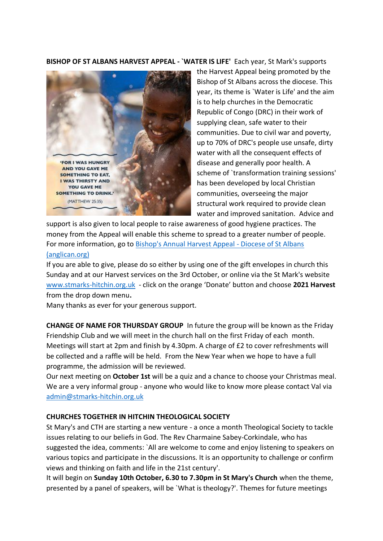**BISHOP OF ST ALBANS HARVEST APPEAL - `WATER IS LIFE'** Each year, St Mark's supports



the Harvest Appeal being promoted by the Bishop of St Albans across the diocese. This year, its theme is `Water is Life' and the aim is to help churches in the Democratic Republic of Congo (DRC) in their work of supplying clean, safe water to their communities. Due to civil war and poverty, up to 70% of DRC's people use unsafe, dirty water with all the consequent effects of disease and generally poor health. A scheme of `transformation training sessions' has been developed by local Christian communities, overseeing the major structural work required to provide clean water and improved sanitation. Advice and

support is also given to local people to raise awareness of good hygiene practices. The money from the Appeal will enable this scheme to spread to a greater number of people. For more information, go to [Bishop's Annual Harvest Appeal -](https://www.stalbans.anglican.org/faith/bishop-s-annual-harvest-appeal/) Diocese of St Albans [\(anglican.org\)](https://www.stalbans.anglican.org/faith/bishop-s-annual-harvest-appeal/)

If you are able to give, please do so either by using one of the gift envelopes in church this Sunday and at our Harvest services on the 3rd October, or online via the St Mark's website [www.stmarks-hitchin.org.uk](http://www.stmarks-hitchin.org.uk/) - click on the orange 'Donate' button and choose **2021 Harvest**  from the drop down menu**.**

Many thanks as ever for your generous support.

**CHANGE OF NAME FOR THURSDAY GROUP** In future the group will be known as the Friday Friendship Club and we will meet in the church hall on the first Friday of each month. Meetings will start at 2pm and finish by 4.30pm. A charge of £2 to cover refreshments will be collected and a raffle will be held. From the New Year when we hope to have a full programme, the admission will be reviewed.

Our next meeting on **October 1st** will be a quiz and a chance to choose your Christmas meal. We are a very informal group - anyone who would like to know more please contact Val via [admin@stmarks-hitchin.org.uk](mailto:admin@stmarks-hitchin.org.uk)

#### **CHURCHES TOGETHER IN HITCHIN THEOLOGICAL SOCIETY**

St Mary's and CTH are starting a new venture - a once a month Theological Society to tackle issues relating to our beliefs in God. The Rev Charmaine Sabey-Corkindale, who has suggested the idea, comments: `All are welcome to come and enjoy listening to speakers on various topics and participate in the discussions. It is an opportunity to challenge or confirm views and thinking on faith and life in the 21st century'.

It will begin on **Sunday 10th October, 6.30 to 7.30pm in St Mary's Church** when the theme, presented by a panel of speakers, will be `What is theology?'. Themes for future meetings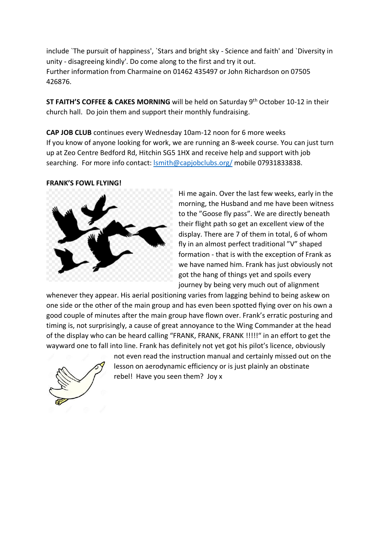include `The pursuit of happiness', `Stars and bright sky - Science and faith' and `Diversity in unity - disagreeing kindly'. Do come along to the first and try it out. Further information from Charmaine on 01462 435497 or John Richardson on 07505 426876.

**ST FAITH'S COFFEE & CAKES MORNING** will be held on Saturday 9th October 10-12 in their church hall. Do join them and support their monthly fundraising.

**CAP JOB CLUB** continues every Wednesday 10am-12 noon for 6 more weeks If you know of anyone looking for work, we are running an 8-week course. You can just turn up at Zeo Centre Bedford Rd, Hitchin SG5 1HX and receive help and support with job searching. For more info contact: **Ismith@capjobclubs.org/** mobile 07931833838.

#### **FRANK'S FOWL FLYING!**



Hi me again. Over the last few weeks, early in the morning, the Husband and me have been witness to the "Goose fly pass". We are directly beneath their flight path so get an excellent view of the display. There are 7 of them in total, 6 of whom fly in an almost perfect traditional "V" shaped formation - that is with the exception of Frank as we have named him. Frank has just obviously not got the hang of things yet and spoils every journey by being very much out of alignment

whenever they appear. His aerial positioning varies from lagging behind to being askew on one side or the other of the main group and has even been spotted flying over on his own a good couple of minutes after the main group have flown over. Frank's erratic posturing and timing is, not surprisingly, a cause of great annoyance to the Wing Commander at the head of the display who can be heard calling "FRANK, FRANK, FRANK !!!!!" in an effort to get the wayward one to fall into line. Frank has definitely not yet got his pilot's licence, obviously



not even read the instruction manual and certainly missed out on the lesson on aerodynamic efficiency or is just plainly an obstinate rebel! Have you seen them? Joy x